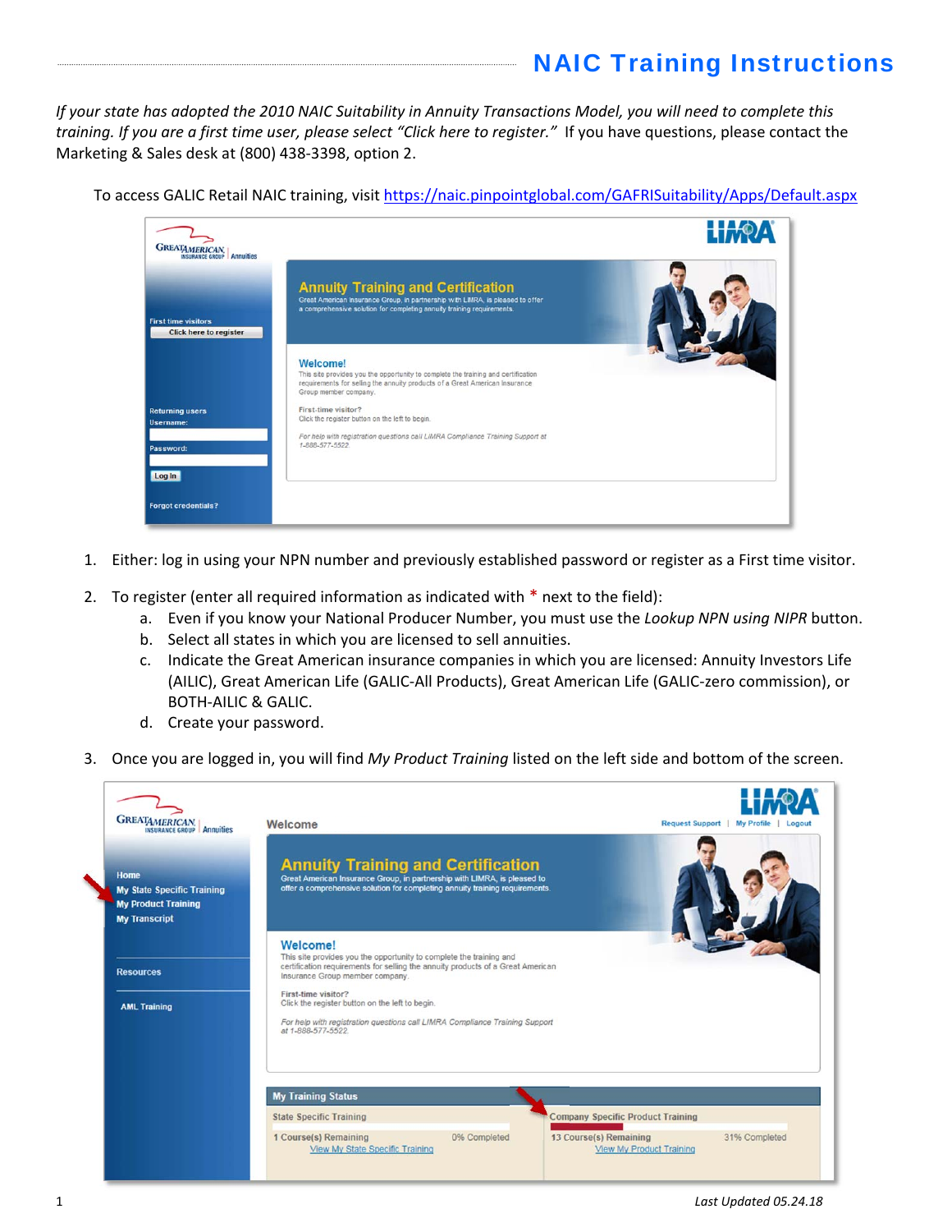## NAIC Training Instructions

If your state has adopted the 2010 NAIC Suitability in Annuity Transactions Model, you will need to complete this training. If you are a first time user, please select "Click here to register." If you have questions, please contact the Marketing & Sales desk at (800) 438‐3398, option 2.

To access GALIC Retail NAIC training, visit https://naic.pinpointglobal.com/GAFRISuitability/Apps/Default.aspx

| <b>GREATAMERICAN</b><br>Annuities                           |                                                                                                                                                                                                       | <b>HAOA</b> |
|-------------------------------------------------------------|-------------------------------------------------------------------------------------------------------------------------------------------------------------------------------------------------------|-------------|
| <b>First time visitors</b><br><b>Click here to register</b> | <b>Annuity Training and Certification</b><br>Great American Insurance Group, in partnership with LIMRA, is pleased to offer<br>a comprehensive solution for completing annuity training requirements. |             |
|                                                             | Welcome!<br>This site provides you the opportunity to complete the training and certification<br>requirements for selling the annuity products of a Great American Insurance<br>Group member company. |             |
| <b>Returning users</b><br>Username:                         | First-time visitor?<br>Click the register button on the left to begin.                                                                                                                                |             |
| Password:                                                   | For help with registration questions call LIMRA Compliance Training Support at<br>1-888-577-5522                                                                                                      |             |
| Log In                                                      |                                                                                                                                                                                                       |             |
| <b>Forgot credentials?</b>                                  |                                                                                                                                                                                                       |             |

- 1. Either: log in using your NPN number and previously established password or register as a First time visitor.
- 2. To register (enter all required information as indicated with  $*$  next to the field):
	- a. Even if you know your National Producer Number, you must use the *Lookup NPN using NIPR* button.
	- b. Select all states in which you are licensed to sell annuities.
	- c. Indicate the Great American insurance companies in which you are licensed: Annuity Investors Life (AILIC), Great American Life (GALIC‐All Products), Great American Life (GALIC‐zero commission), or BOTH‐AILIC & GALIC.
	- d. Create your password.
- 3. Once you are logged in, you will find *My Product Training* listed on the left side and bottom of the screen.

| <b>GREATAMERICAN.</b> Annuities                                                                 | Welcome                                                                                                                                                                                               | Request Support<br>My Profile   Logout   |  |
|-------------------------------------------------------------------------------------------------|-------------------------------------------------------------------------------------------------------------------------------------------------------------------------------------------------------|------------------------------------------|--|
| Home<br><b>My State Specific Training</b><br><b>My Product Training</b><br><b>My Transcript</b> | <b>Annuity Training and Certification</b><br>Great American Insurance Group, in partnership with LIMRA, is pleased to<br>offer a comprehensive solution for completing annuity training requirements. |                                          |  |
| <b>Resources</b>                                                                                | Welcome!<br>This site provides you the opportunity to complete the training and<br>certification requirements for selling the annuity products of a Great American<br>Insurance Group member company. |                                          |  |
| <b>AML Training</b>                                                                             | First-time visitor?<br>Click the register button on the left to begin.<br>For help with registration questions call LIMRA Compliance Training Support<br>at 1-888-577-5522.                           |                                          |  |
|                                                                                                 | <b>My Training Status</b>                                                                                                                                                                             |                                          |  |
|                                                                                                 |                                                                                                                                                                                                       |                                          |  |
|                                                                                                 | <b>State Specific Training</b>                                                                                                                                                                        | <b>Company Specific Product Training</b> |  |